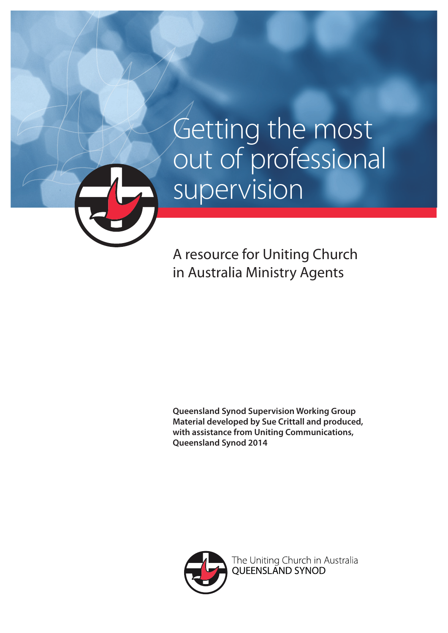A resource for Uniting Church in Australia Ministry Agents

**Queensland Synod Supervision Working Group Material developed by Sue Crittall and produced, with assistance from Uniting Communications, Queensland Synod 2014**



The Uniting Church in Australia<br>QUEENSLAND SYNOD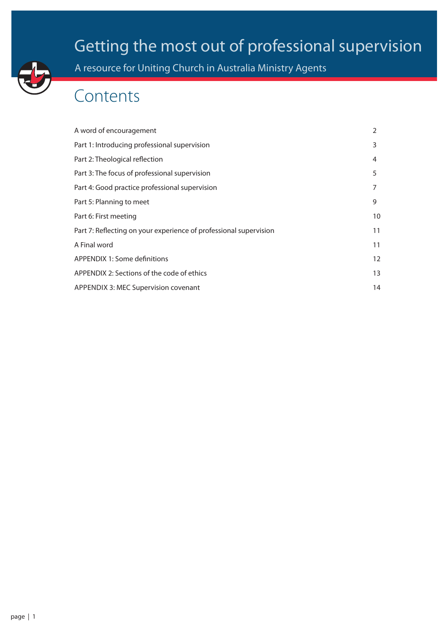A resource for Uniting Church in Australia Ministry Agents

### Contents

| A word of encouragement                                           | 2  |
|-------------------------------------------------------------------|----|
| Part 1: Introducing professional supervision                      | 3  |
| Part 2: Theological reflection                                    | 4  |
| Part 3: The focus of professional supervision                     | 5  |
| Part 4: Good practice professional supervision                    | 7  |
| Part 5: Planning to meet                                          | 9  |
| Part 6: First meeting                                             | 10 |
| Part 7: Reflecting on your experience of professional supervision | 11 |
| A Final word                                                      | 11 |
| APPENDIX 1: Some definitions                                      | 12 |
| APPENDIX 2: Sections of the code of ethics                        | 13 |
| APPENDIX 3: MEC Supervision covenant                              | 14 |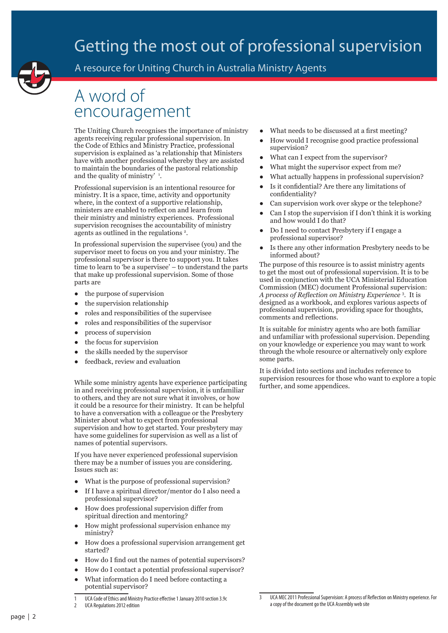

A resource for Uniting Church in Australia Ministry Agents

### A word of encouragement

The Uniting Church recognises the importance of ministry agents receiving regular professional supervision. In the Code of Ethics and Ministry Practice, professional supervision is explained as 'a relationship that Ministers have with another professional whereby they are assisted to maintain the boundaries of the pastoral relationship and the quality of ministry'<sup>1</sup>.

Professional supervision is an intentional resource for ministry. It is a space, time, activity and opportunity where, in the context of a supportive relationship. ministers are enabled to reflect on and learn from their ministry and ministry experiences. Professional supervision recognises the accountability of ministry agents as outlined in the regulations<sup>2</sup>.

In professional supervision the supervisee (you) and the supervisor meet to focus on you and your ministry. The professional supervisor is there to support you. It takes time to learn to 'be a supervisee' – to understand the parts that make up professional supervision. Some of those parts are

- the purpose of supervision
- the supervision relationship
- roles and responsibilities of the supervisee
- roles and responsibilities of the supervisor
- process of supervision
- the focus for supervision
- the skills needed by the supervisor
- feedback, review and evaluation

While some ministry agents have experience participating in and receiving professional supervision, it is unfamiliar to others, and they are not sure what it involves, or how it could be a resource for their ministry. It can be helpful to have a conversation with a colleague or the Presbytery Minister about what to expect from professional supervision and how to get started. Your presbytery may have some guidelines for supervision as well as a list of names of potential supervisors.

If you have never experienced professional supervision there may be a number of issues you are considering. Issues such as:

- What is the purpose of professional supervision?
- If I have a spiritual director/mentor do I also need a professional supervisor?
- How does professional supervision differ from spiritual direction and mentoring?
- How might professional supervision enhance my ministry?
- How does a professional supervision arrangement get started?
- How do I find out the names of potential supervisors?
- How do I contact a potential professional supervisor?
- What information do I need before contacting a potential supervisor?

1 UCA Code of Ethics and Ministry Practice effective 1 January 2010 section 3.9c 2 UCA Regulations 2012 edition

- What needs to be discussed at a first meeting?
- How would I recognise good practice professional supervision?
- What can I expect from the supervisor?
- What might the supervisor expect from me?
- What actually happens in professional supervision?
- Is it confidential? Are there any limitations of confidentiality?
- Can supervision work over skype or the telephone?
- Can I stop the supervision if I don't think it is working and how would I do that?
- Do I need to contact Presbytery if I engage a professional supervisor?
- Is there any other information Presbytery needs to be informed about?

The purpose of this resource is to assist ministry agents to get the most out of professional supervision. It is to be used in conjunction with the UCA Ministerial Education Commission (MEC) document Professional supervision: *A process of Reflection on Ministry Experience* <sup>3</sup> . It is designed as a workbook, and explores various aspects of professional supervision, providing space for thoughts, comments and reflections.

It is suitable for ministry agents who are both familiar and unfamiliar with professional supervision. Depending on your knowledge or experience you may want to work through the whole resource or alternatively only explore some parts.

It is divided into sections and includes reference to supervision resources for those who want to explore a topic further, and some appendices.

<sup>3</sup> UCA MEC 2011 Professional Supervision: A process of Reflection on Ministry experience. For a copy of the document go the UCA Assembly web site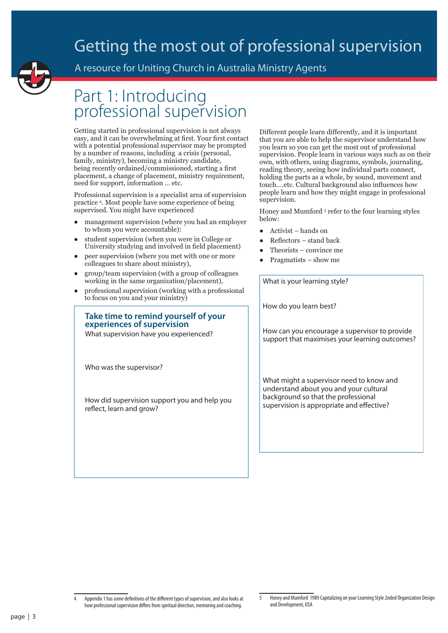

### A resource for Uniting Church in Australia Ministry Agents

### Part 1: Introducing professional supervision

Getting started in professional supervision is not always easy, and it can be overwhelming at first. Your first contact with a potential professional supervisor may be prompted by a number of reasons, including a crisis (personal, family, ministry), becoming a ministry candidate, being recently ordained/commissioned, starting a first placement, a change of placement, ministry requirement, need for support, information … etc.

Professional supervision is a specialist area of supervision practice 4 . Most people have some experience of being supervised. You might have experienced

- management supervision (where you had an employer to whom you were accountable):
- student supervision (when you were in College or University studying and involved in field placement)
- peer supervision (where you met with one or more colleagues to share about ministry),
- group/team supervision (with a group of colleagues working in the same organization/placement),
- professional supervision (working with a professional to focus on you and your ministry)

### **Take time to remind yourself of your experiences of supervision**

What supervision have you experienced?

Who was the supervisor?

How did supervision support you and help you reflect, learn and grow?

Different people learn differently, and it is important that you are able to help the supervisor understand how you learn so you can get the most out of professional supervision. People learn in various ways such as on their own, with others, using diagrams, symbols, journaling, reading theory, seeing how individual parts connect, holding the parts as a whole, by sound, movement and touch….etc. Cultural background also influences how people learn and how they might engage in professional supervision.

Honey and Mumford<sup>5</sup> refer to the four learning styles below:

- Activist hands on
- Reflectors stand back
- Theorists convince me
- Pragmatists show me

What is your learning style?

How do you learn best?

How can you encourage a supervisor to provide support that maximises your learning outcomes?

What might a supervisor need to know and understand about you and your cultural background so that the professional supervision is appropriate and effective?

<sup>4</sup> Appendix 1 has some definitions of the different types of supervision, and also looks at how professional supervision differs from spiritual direction, mentoring and coaching.

<sup>5</sup> Honey and Mumford 1989 Capitalizing on your Learning Style 2nded Organization Design and Development, USA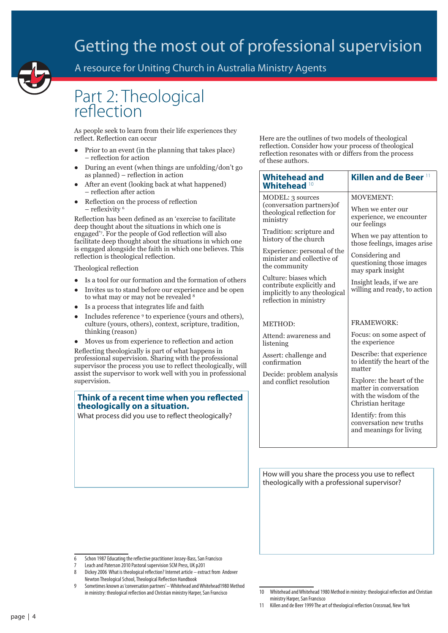

A resource for Uniting Church in Australia Ministry Agents

### Part 2: Theological reflection

As people seek to learn from their life experiences they reflect. Reflection can occur

- Prior to an event (in the planning that takes place) – reflection for action
- During an event (when things are unfolding/don't go as planned) – reflection in action
- After an event (looking back at what happened) – reflection after action
- Reflection on the process of reflection – reflexivity <sup>6</sup>

Reflection has been defined as an 'exercise to facilitate deep thought about the situations in which one is engaged'7 . For the people of God reflection will also facilitate deep thought about the situations in which one is engaged alongside the faith in which one believes. This reflection is theological reflection.

Theological reflection

- Is a tool for our formation and the formation of others
- Invites us to stand before our experience and be open to what may or may not be revealed 8
- Is a process that integrates life and faith
- Includes reference <sup>9</sup> to experience (yours and others), culture (yours, others), context, scripture, tradition, thinking (reason)
- Moves us from experience to reflection and action

Reflecting theologically is part of what happens in professional supervision. Sharing with the professional supervisor the process you use to reflect theologically, will assist the supervisor to work well with you in professional supervision.

#### **Think of a recent time when you reflected theologically on a situation.**

What process did you use to reflect theologically?

Here are the outlines of two models of theological reflection. Consider how your process of theological reflection resonates with or differs from the process of these authors.

| <b>Whitehead and</b><br>Whitehead                                                                             | Killen and de Beer 11                                                                               |  |
|---------------------------------------------------------------------------------------------------------------|-----------------------------------------------------------------------------------------------------|--|
| <b>MODEL: 3 sources</b>                                                                                       | <b>MOVEMENT:</b>                                                                                    |  |
| (conversation partners) of<br>theological reflection for<br>ministry                                          | When we enter our<br>experience, we encounter<br>our feelings                                       |  |
| Tradition: scripture and<br>history of the church                                                             | When we pay attention to<br>those feelings, images arise                                            |  |
| Experience: personal of the<br>minister and collective of<br>the community                                    | Considering and<br>questioning those images<br>may spark insight                                    |  |
| Culture: biases which<br>contribute explicitly and<br>implicitly to any theological<br>reflection in ministry | Insight leads, if we are<br>willing and ready, to action                                            |  |
| METHOD:                                                                                                       | <b>FRAMEWORK:</b>                                                                                   |  |
| Attend: awareness and<br>listening                                                                            | Focus: on some aspect of<br>the experience                                                          |  |
| Assert: challenge and<br>confirmation<br>Decide: problem analysis<br>and conflict resolution                  | Describe: that experience<br>to identify the heart of the                                           |  |
|                                                                                                               | matter                                                                                              |  |
|                                                                                                               | Explore: the heart of the<br>matter in conversation<br>with the wisdom of the<br>Christian heritage |  |
|                                                                                                               | Identify: from this<br>conversation new truths<br>and meanings for living                           |  |
|                                                                                                               |                                                                                                     |  |

How will you share the process you use to reflect theologically with a professional supervisor?

7 Leach and Paterson 2010 Pastoral supervision SCM Press, UK p201

<sup>6</sup> Schon 1987 Educating the reflective practitioner Jossey-Bass, San Francisco

<sup>8</sup> Dickey 2006 What is theological reflection? Internet article – extract from Andover Newton Theological School, Theological Reflection Handbook

<sup>9</sup> Sometimes known as 'conversation partners' – Whitehead and Whitehead1980 Method in ministry: theological reflection and Christian ministry Harper, San Francisco

<sup>10</sup> Whitehead and Whitehead 1980 Method in ministry: theological reflection and Christian ministry Harper, San Francisco

<sup>11</sup> Killen and de Beer 1999 The art of theological reflection Crossroad, New York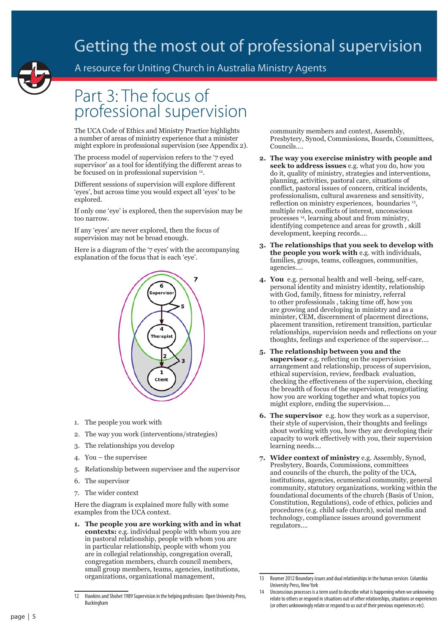

A resource for Uniting Church in Australia Ministry Agents

### Part 3: The focus of professional supervision

The UCA Code of Ethics and Ministry Practice highlights a number of areas of ministry experience that a minister might explore in professional supervision (see Appendix 2).

The process model of supervision refers to the '7 eyed supervisor' as a tool for identifying the different areas to be focused on in professional supervision <sup>12</sup>.

Different sessions of supervision will explore different 'eyes', but across time you would expect all 'eyes' to be explored.

If only one 'eye' is explored, then the supervision may be too narrow.

If any 'eyes' are never explored, then the focus of supervision may not be broad enough.

Here is a diagram of the '7 eyes' with the accompanying explanation of the focus that is each 'eye'.



- 1. The people you work with
- 2. The way you work (interventions/strategies)
- 3. The relationships you develop
- 4. You the supervisee
- 5. Relationship between supervisee and the supervisor
- 6. The supervisor
- 7. The wider context

Here the diagram is explained more fully with some examples from the UCA context.

**1. The people you are working with and in what contexts:** e.g. individual people with whom you are in pastoral relationship, people with whom you are in particular relationship, people with whom you are in collegial relationship, congregation overall, congregation members, church council members, small group members, teams, agencies, institutions, organizations, organizational management,

community members and context, Assembly, Presbytery, Synod, Commissions, Boards, Committees, Councils….

- **2. The way you exercise ministry with people and seek to address issues** e.g. what you do, how you do it, quality of ministry, strategies and interventions, planning, activities, pastoral care, situations of conflict, pastoral issues of concern, critical incidents, professionalism, cultural awareness and sensitivity, reflection on ministry experiences, boundaries <sup>13</sup>, multiple roles, conflicts of interest, unconscious processes 14, learning about and from ministry, identifying competence and areas for growth , skill development, keeping records….
- **3. The relationships that you seek to develop with the people you work with** e.g. with individuals, families, groups, teams, colleagues, communities, agencies….
- **4. You** e.g. personal health and well -being, self-care, personal identity and ministry identity, relationship with God, family, fitness for ministry, referral to other professionals , taking time off, how you are growing and developing in ministry and as a minister, CEM, discernment of placement directions, placement transition, retirement transition, particular relationships, supervision needs and reflections on your thoughts, feelings and experience of the supervisor….
- **5. The relationship between you and the supervisor** e.g. reflecting on the supervision arrangement and relationship, process of supervision, ethical supervision, review, feedback evaluation, checking the effectiveness of the supervision, checking the breadth of focus of the supervision, renegotiating how you are working together and what topics you might explore, ending the supervision.…
- **6. The supervisor** e.g. how they work as a supervisor, their style of supervision, their thoughts and feelings about working with you, how they are developing their capacity to work effectively with you, their supervision learning needs….
- **7. Wider context of ministry** e.g. Assembly, Synod, Presbytery, Boards, Commissions, committees and councils of the church, the polity of the UCA, institutions, agencies, ecumenical community, general community, statutory organizations, working within the foundational documents of the church (Basis of Union, Constitution, Regulations), code of ethics, policies and procedures (e.g. child safe church), social media and technology, compliance issues around government regulators….

<sup>12</sup> Hawkins and Shohet 1989 Supervision in the helping professions Open University Press, Buckingham

<sup>13</sup> Reamer 2012 Boundary issues and dual relationships in the human services Columbia University Press, New York

<sup>14</sup> Unconscious processes is a term used to describe what is happening when we unknowing relate to others or respond in situations out of other relationships, situations or experiences (or others unknowingly relate or respond to us out of their previous experiences etc).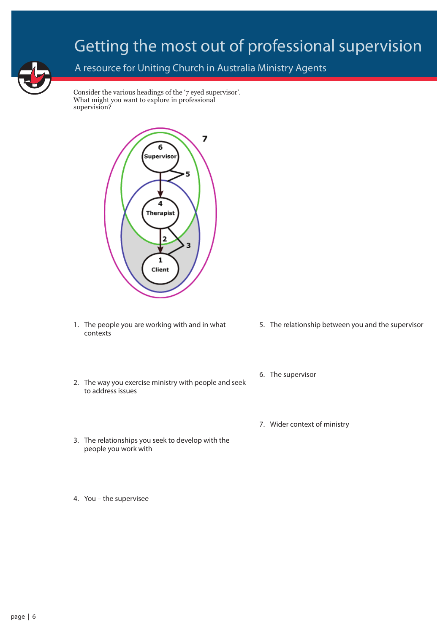

### A resource for Uniting Church in Australia Ministry Agents

Consider the various headings of the '7 eyed supervisor'. What might you want to explore in professional supervision?



- 1. The people you are working with and in what contexts
- 2. The way you exercise ministry with people and seek to address issues
- 3. The relationships you seek to develop with the people you work with
- 4. You the supervisee
- 5. The relationship between you and the supervisor
- 6. The supervisor
- 7. Wider context of ministry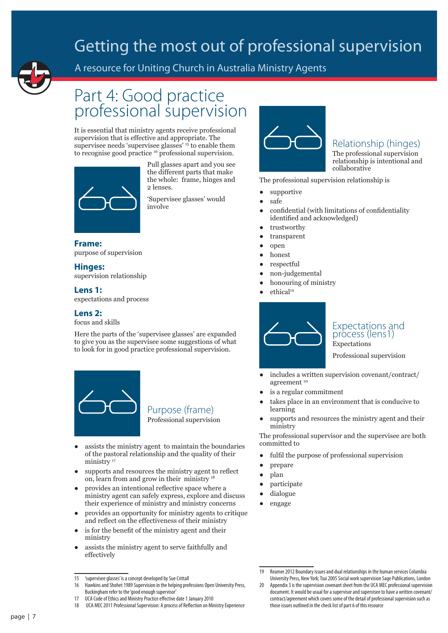

### A resource for Uniting Church in Australia Ministry Agents

### Part 4: Good practice professional supervision

It is essential that ministry agents receive professional supervision that is effective and appropriate. The supervisee needs 'supervisee glasses' <sup>15</sup> to enable them to recognise good practice 16 professional supervision.



Pull glasses apart and you see the different parts that make the whole: frame, hinges and 2 lenses.

'Supervisee glasses' would involve

### **Frame:**  purpose of supervision

#### **Hinges:**

supervision relationship

#### **Lens 1:**

expectations and process

#### **Lens 2:**

#### focus and skills

Here the parts of the 'supervisee glasses' are expanded to give you as the supervisee some suggestions of what to look for in good practice professional supervision.



Purpose (frame) Professional supervision

- assists the ministry agent to maintain the boundaries of the pastoral relationship and the quality of their ministry<sup>17</sup>
- supports and resources the ministry agent to reflect on, learn from and grow in their ministry 18
- provides an intentional reflective space where a ministry agent can safely express, explore and discuss their experience of ministry and ministry concerns
- provides an opportunity for ministry agents to critique and reflect on the effectiveness of their ministry
- is for the benefit of the ministry agent and their ministry
- assists the ministry agent to serve faithfully and effectively

17 UCA Code of Ethics and Ministry Practice effective date 1 January 2010



### Relationship (hinges)

The professional supervision relationship is intentional and collaborative

The professional supervision relationship is

- supportive
- safe
- confidential (with limitations of confidentiality identified and acknowledged)
- trustworthy
- transparent
- open
- honest
- respectful
- non-judgemental
- honouring of ministry
- ethical<sup>19</sup>



#### Expectations and process (lens1) Expectations

Professional supervision

- includes a written supervision covenant/contract/ agreement<sup>20</sup>
- is a regular commitment
- takes place in an environment that is conducive to learning
- supports and resources the ministry agent and their ministry

The professional supervisor and the supervisee are both committed to

- fulfil the purpose of professional supervision
- prepare
- plan
- participate
- dialogue
- engage

<sup>15</sup> 'supervisee glasses' is a concept developed by Sue Crittall

<sup>16</sup> Hawkins and Shohet 1989 Supervision in the helping professions Open University Press, Buckingham refer to the 'good enough supervisor'

<sup>18</sup> UCA MEC 2011 Professional Supervision: A process of Reflection on Ministry Experience

Reamer 2012 Boundary issues and dual relationships in the human services Columbia University Press, New York; Tsui 2005 Social work supervision Sage Publications, London

<sup>20</sup> Appendix 3 is the supervision covenant sheet from the UCA MEC professional supervision document. It would be usual for a supervisor and supervisee to have a written covenant/ contract/agreement which covers some of the detail of professional supervision such as those issues outlined in the check list of part 6 of this resource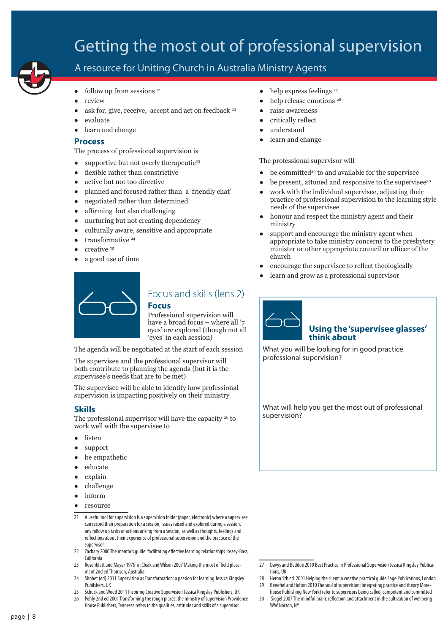

### A resource for Uniting Church in Australia Ministry Agents

- $\bullet$  follow up from sessions  $21$
- review
- ask for, give, receive, accept and act on feedback <sup>22</sup>
- evaluate
- learn and change

#### **Process**

The process of professional supervision is

- supportive but not overly therapeutic<sup>23</sup>
- flexible rather than constrictive
- active but not too directive
- planned and focused rather than a 'friendly chat'
- negotiated rather than determined
- affirming but also challenging
- nurturing but not creating dependency
- culturally aware, sensitive and appropriate
- transformative <sup>24</sup>
- creative <sup>25</sup>
- a good use of time
- $\bullet$  help express feelings  $^{27}$
- help release emotions <sup>28</sup>
- raise awareness
- critically reflect
- understand
- learn and change

The professional supervisor will

- $\bullet$  be committed<sup>29</sup> to and available for the supervisee
- be present, attuned and responsive to the supervisee<sup>30</sup>
- work with the individual supervisee, adjusting their practice of professional supervision to the learning style needs of the supervisee
- honour and respect the ministry agent and their ministry
- support and encourage the ministry agent when appropriate to take ministry concerns to the presbytery minister or other appropriate council or officer of the church

**Using the 'supervisee glasses'** 

- encourage the supervisee to reflect theologically
- learn and grow as a professional supervisor

**think about** What you will be looking for in good practice



### Focus and skills (lens 2) **Focus**

Professional supervision will have a broad focus – where all '7 eyes' are explored (though not all 'eyes' in each session)

The agenda will be negotiated at the start of each session

The supervisee and the professional supervisor will both contribute to planning the agenda (but it is the supervisee's needs that are to be met)

The supervisee will be able to identify how professional supervision is impacting positively on their ministry

#### **Skills**

The professional supervisor will have the capacity <sup>26</sup> to work well with the supervisee to

- listen
- support
- be empathetic
- educate
- explain
- challenge
- inform
- resource
- 21 A useful tool for supervision is a supervision folder (paper, electronic) where a supervisee can record their preparation for a session, issues raised and explored during a session, any follow up tasks or actions arising from a session, as well as thoughts, feelings and reflections about their experience of professional supervision and the practice of the supervisor.
- 22 Zachary 2000 The mentor's guide: facilitating effective learning relationships Jossey-Bass, California
- 23 Rosenblatt and Mayer 1975 in Cleak and Wilson 2007 Making the most of field placement 2nd ed Thomson, Australia
- 24 Shohet (ed) 2011 Supervision as Transformation: a passion for learning Jessica Kingsley Publishers, UK
- 25 Schuck and Wood 2011 Inspiring Creative Supervision Jessica Kingsley Publishers, UK
- 26 Pohly 2nd ed 2001 Transforming the rough places: the ministry of supervision Providence House Publishers, Tennesse refers to the qualities, attitudes and skills of a supervisor

professional supervision?

What will help you get the most out of professional supervision?

- 27 Davys and Beddoe 2010 Best Practice in Professional Supervision Jessica Kingsley Publications, UK
- 28 Heron 5th ed 2001 Helping the client: a creative practical guide Sage Publications, London 29 Benefiel and Holton 2010 The soul of supervision: integrating practice and theory More-
- house Publishing New York) refer to supervisors being called, competent and committed 30 Siegel 2007 The mindful brain: reflection and attachment in the cultivation of wellbeing
- WW Norton, NY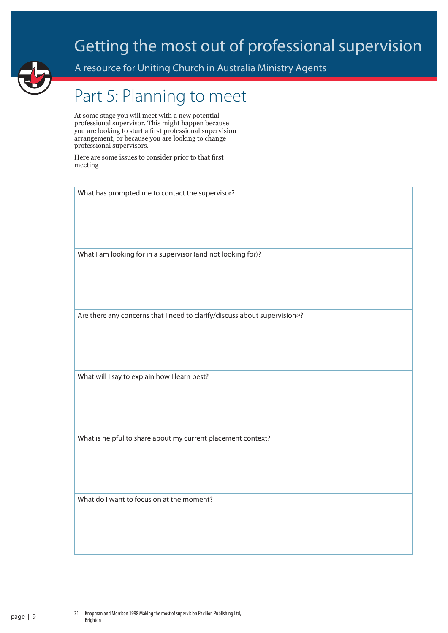

A resource for Uniting Church in Australia Ministry Agents

# Part 5: Planning to meet

At some stage you will meet with a new potential professional supervisor. This might happen because you are looking to start a first professional supervision arrangement, or because you are looking to change professional supervisors.

Here are some issues to consider prior to that first meeting

What has prompted me to contact the supervisor?

What I am looking for in a supervisor (and not looking for)?

Are there any concerns that I need to clarify/discuss about supervision<sup>31</sup>?

What will I say to explain how I learn best?

What is helpful to share about my current placement context?

What do I want to focus on at the moment?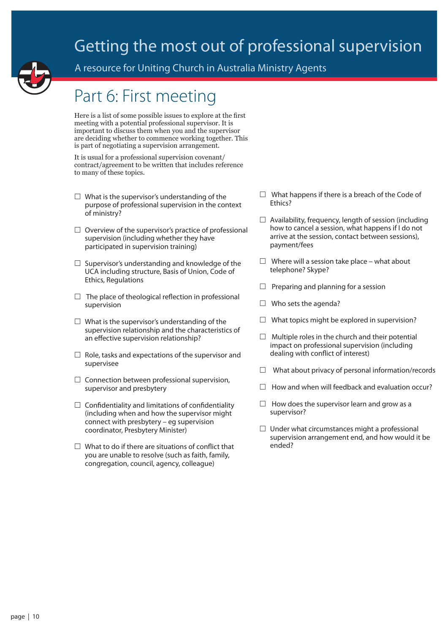

A resource for Uniting Church in Australia Ministry Agents

### Part 6: First meeting

Here is a list of some possible issues to explore at the first meeting with a potential professional supervisor. It is important to discuss them when you and the supervisor are deciding whether to commence working together. This is part of negotiating a supervision arrangement.

It is usual for a professional supervision covenant/ contract/agreement to be written that includes reference to many of these topics.

- $\Box$  What is the supervisor's understanding of the purpose of professional supervision in the context of ministry?
- $\Box$  Overview of the supervisor's practice of professional supervision (including whether they have participated in supervision training)
- $\Box$  Supervisor's understanding and knowledge of the UCA including structure, Basis of Union, Code of Ethics, Regulations
- $\Box$  The place of theological reflection in professional supervision
- $\Box$  What is the supervisor's understanding of the supervision relationship and the characteristics of an effective supervision relationship?
- $\Box$  Role, tasks and expectations of the supervisor and supervisee
- $\square$  Connection between professional supervision, supervisor and presbytery
- $\square$  Confidentiality and limitations of confidentiality (including when and how the supervisor might connect with presbytery – eg supervision coordinator, Presbytery Minister)
- $\Box$  What to do if there are situations of conflict that you are unable to resolve (such as faith, family, congregation, council, agency, colleague)
- $\Box$  What happens if there is a breach of the Code of Ethics?
- $\Box$  Availability, frequency, length of session (including how to cancel a session, what happens if I do not arrive at the session, contact between sessions), payment/fees
- $\Box$  Where will a session take place what about telephone? Skype?
- $\Box$  Preparing and planning for a session
- $\Box$  Who sets the agenda?
- $\Box$  What topics might be explored in supervision?
- $\Box$  Multiple roles in the church and their potential impact on professional supervision (including dealing with conflict of interest)
- $\Box$  What about privacy of personal information/records
- $\Box$  How and when will feedback and evaluation occur?
- $\Box$  How does the supervisor learn and grow as a supervisor?
- $\Box$  Under what circumstances might a professional supervision arrangement end, and how would it be ended?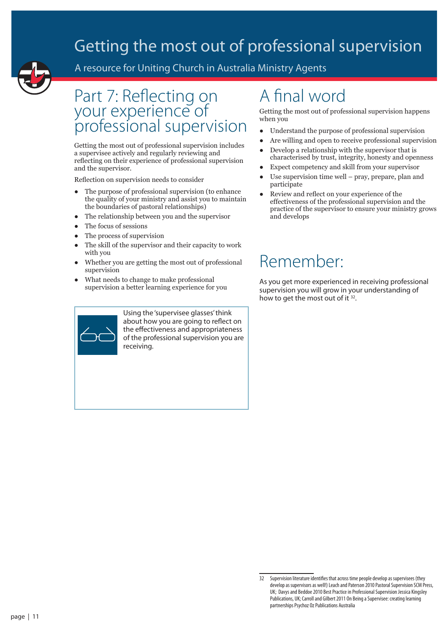

A resource for Uniting Church in Australia Ministry Agents

### Part 7: Reflecting on your experience of professional supervision

Getting the most out of professional supervision includes a supervisee actively and regularly reviewing and reflecting on their experience of professional supervision and the supervisor.

Reflection on supervision needs to consider

- The purpose of professional supervision (to enhance the quality of your ministry and assist you to maintain the boundaries of pastoral relationships)
- The relationship between you and the supervisor
- The focus of sessions
- The process of supervision
- The skill of the supervisor and their capacity to work with you
- Whether you are getting the most out of professional supervision
- What needs to change to make professional supervision a better learning experience for you



Using the 'supervisee glasses' think about how you are going to reflect on the effectiveness and appropriateness of the professional supervision you are receiving.

# A final word

Getting the most out of professional supervision happens when you

- Understand the purpose of professional supervision
- Are willing and open to receive professional supervision
- Develop a relationship with the supervisor that is characterised by trust, integrity, honesty and openness
- Expect competency and skill from your supervisor
- Use supervision time well  $pray$ , prepare, plan and participate
- Review and reflect on your experience of the effectiveness of the professional supervision and the practice of the supervisor to ensure your ministry grows and develops

# Remember:

As you get more experienced in receiving professional supervision you will grow in your understanding of how to get the most out of it <sup>32</sup>.

<sup>32</sup> Supervision literature identifies that across time people develop as supervisees (they develop as supervisors as well!) Leach and Paterson 2010 Pastoral Supervision SCM Press, UK; Davys and Beddoe 2010 Best Practice in Professional Supervision Jessica Kingsley Publications, UK; Carroll and Gilbert 2011 On Being a Supervisee: creating learning partnerships Psychoz Oz Publications Australia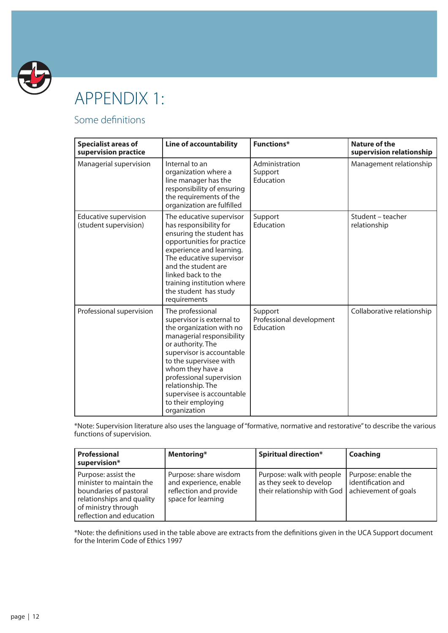

# APPENDIX 1:

### Some definitions

| <b>Specialist areas of</b><br>supervision practice    | <b>Line of accountability</b>                                                                                                                                                                                                                                                                                              | <b>Functions*</b>                                | <b>Nature of the</b><br>supervision relationship |
|-------------------------------------------------------|----------------------------------------------------------------------------------------------------------------------------------------------------------------------------------------------------------------------------------------------------------------------------------------------------------------------------|--------------------------------------------------|--------------------------------------------------|
| Managerial supervision                                | Internal to an<br>organization where a<br>line manager has the<br>responsibility of ensuring<br>the requirements of the<br>organization are fulfilled                                                                                                                                                                      | Administration<br>Support<br>Education           | Management relationship                          |
| <b>Educative supervision</b><br>(student supervision) | The educative supervisor<br>has responsibility for<br>ensuring the student has<br>opportunities for practice<br>experience and learning.<br>The educative supervisor<br>and the student are<br>linked back to the<br>training institution where<br>the student has study<br>requirements                                   | Support<br>Education                             | Student - teacher<br>relationship                |
| Professional supervision                              | The professional<br>supervisor is external to<br>the organization with no<br>managerial responsibility<br>or authority. The<br>supervisor is accountable<br>to the supervisee with<br>whom they have a<br>professional supervision<br>relationship. The<br>supervisee is accountable<br>to their employing<br>organization | Support<br>Professional development<br>Education | Collaborative relationship                       |

\*Note: Supervision literature also uses the language of "formative, normative and restorative" to describe the various functions of supervision.

| Professional<br>supervision*                                                                                                                              | Mentoring*                                                                                      | <b>Spiritual direction*</b>                                                         | Coaching                                                          |
|-----------------------------------------------------------------------------------------------------------------------------------------------------------|-------------------------------------------------------------------------------------------------|-------------------------------------------------------------------------------------|-------------------------------------------------------------------|
| Purpose: assist the<br>minister to maintain the<br>boundaries of pastoral<br>relationships and quality<br>of ministry through<br>reflection and education | Purpose: share wisdom<br>and experience, enable<br>reflection and provide<br>space for learning | Purpose: walk with people<br>as they seek to develop<br>their relationship with God | Purpose: enable the<br>identification and<br>achievement of goals |

\*Note: the definitions used in the table above are extracts from the definitions given in the UCA Support document for the Interim Code of Ethics 1997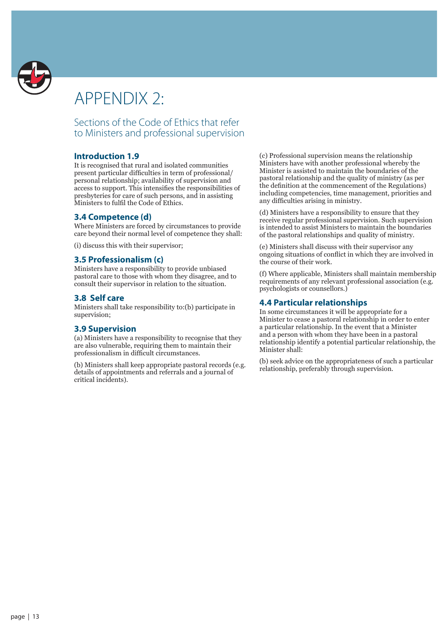

# APPENDIX 2:

Sections of the Code of Ethics that refer to Ministers and professional supervision

#### **Introduction 1.9**

It is recognised that rural and isolated communities present particular difficulties in term of professional/ personal relationship; availability of supervision and access to support. This intensifies the responsibilities of presbyteries for care of such persons, and in assisting Ministers to fulfil the Code of Ethics.

### **3.4 Competence (d)**

Where Ministers are forced by circumstances to provide care beyond their normal level of competence they shall:

(i) discuss this with their supervisor;

### **3.5 Professionalism (c)**

Ministers have a responsibility to provide unbiased pastoral care to those with whom they disagree, and to consult their supervisor in relation to the situation.

### **3.8 Self care**

Ministers shall take responsibility to:(b) participate in supervision;

#### **3.9 Supervision**

(a) Ministers have a responsibility to recognise that they are also vulnerable, requiring them to maintain their professionalism in difficult circumstances.

(b) Ministers shall keep appropriate pastoral records (e.g. details of appointments and referrals and a journal of critical incidents).

(c) Professional supervision means the relationship Ministers have with another professional whereby the Minister is assisted to maintain the boundaries of the pastoral relationship and the quality of ministry (as per the definition at the commencement of the Regulations) including competencies, time management, priorities and any difficulties arising in ministry.

(d) Ministers have a responsibility to ensure that they receive regular professional supervision. Such supervision is intended to assist Ministers to maintain the boundaries of the pastoral relationships and quality of ministry.

(e) Ministers shall discuss with their supervisor any ongoing situations of conflict in which they are involved in the course of their work.

(f) Where applicable, Ministers shall maintain membership requirements of any relevant professional association (e.g. psychologists or counsellors.)

#### **4.4 Particular relationships**

In some circumstances it will be appropriate for a Minister to cease a pastoral relationship in order to enter a particular relationship. In the event that a Minister and a person with whom they have been in a pastoral relationship identify a potential particular relationship, the Minister shall:

(b) seek advice on the appropriateness of such a particular relationship, preferably through supervision.